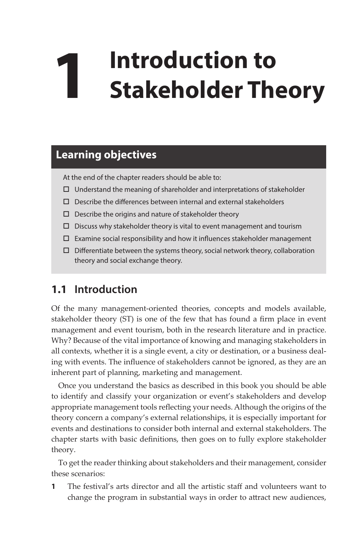# **1 Introduction to Stakeholder Theory**

## **Learning objectives**

At the end of the chapter readers should be able to:

- $\Box$  Understand the meaning of shareholder and interpretations of stakeholder
- $\square$  Describe the differences between internal and external stakeholders
- $\square$  Describe the origins and nature of stakeholder theory
- $\square$  Discuss why stakeholder theory is vital to event management and tourism
- $\square$  Examine social responsibility and how it influences stakeholder management
- $\square$  Differentiate between the systems theory, social network theory, collaboration theory and social exchange theory.

## **1.1 Introduction**

Of the many management-oriented theories, concepts and models available, stakeholder theory (ST) is one of the few that has found a firm place in event management and event tourism, both in the research literature and in practice. Why? Because of the vital importance of knowing and managing stakeholders in all contexts, whether it is a single event, a city or destination, or a business dealing with events. The influence of stakeholders cannot be ignored, as they are an inherent part of planning, marketing and management.

Once you understand the basics as described in this book you should be able to identify and classify your organization or event's stakeholders and develop appropriate management tools reflecting your needs. Although the origins of the theory concern a company's external relationships, it is especially important for events and destinations to consider both internal and external stakeholders. The chapter starts with basic definitions, then goes on to fully explore stakeholder theory.

To get the reader thinking about stakeholders and their management, consider these scenarios:

**1** The festival's arts director and all the artistic staff and volunteers want to change the program in substantial ways in order to attract new audiences,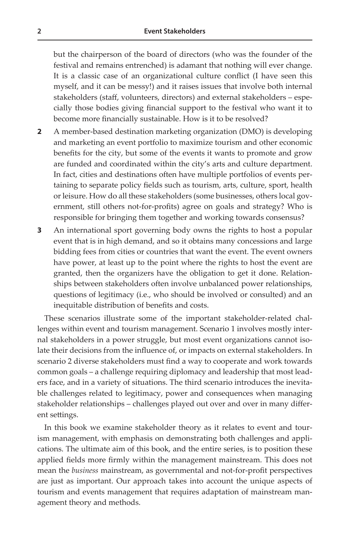but the chairperson of the board of directors (who was the founder of the festival and remains entrenched) is adamant that nothing will ever change. It is a classic case of an organizational culture conflict (I have seen this myself, and it can be messy!) and it raises issues that involve both internal stakeholders (staff, volunteers, directors) and external stakeholders – especially those bodies giving financial support to the festival who want it to become more financially sustainable. How is it to be resolved?

- **2** A member-based destination marketing organization (DMO) is developing and marketing an event portfolio to maximize tourism and other economic benefits for the city, but some of the events it wants to promote and grow are funded and coordinated within the city's arts and culture department. In fact, cities and destinations often have multiple portfolios of events pertaining to separate policy fields such as tourism, arts, culture, sport, health or leisure. How do all these stakeholders (some businesses, others local government, still others not-for-profits) agree on goals and strategy? Who is responsible for bringing them together and working towards consensus?
- **3** An international sport governing body owns the rights to host a popular event that is in high demand, and so it obtains many concessions and large bidding fees from cities or countries that want the event. The event owners have power, at least up to the point where the rights to host the event are granted, then the organizers have the obligation to get it done. Relationships between stakeholders often involve unbalanced power relationships, questions of legitimacy (i.e., who should be involved or consulted) and an inequitable distribution of benefits and costs.

These scenarios illustrate some of the important stakeholder-related challenges within event and tourism management. Scenario 1 involves mostly internal stakeholders in a power struggle, but most event organizations cannot isolate their decisions from the influence of, or impacts on external stakeholders. In scenario 2 diverse stakeholders must find a way to cooperate and work towards common goals – a challenge requiring diplomacy and leadership that most leaders face, and in a variety of situations. The third scenario introduces the inevitable challenges related to legitimacy, power and consequences when managing stakeholder relationships – challenges played out over and over in many different settings.

In this book we examine stakeholder theory as it relates to event and tourism management, with emphasis on demonstrating both challenges and applications. The ultimate aim of this book, and the entire series, is to position these applied fields more firmly within the management mainstream. This does not mean the *business* mainstream, as governmental and not-for-profit perspectives are just as important. Our approach takes into account the unique aspects of tourism and events management that requires adaptation of mainstream management theory and methods.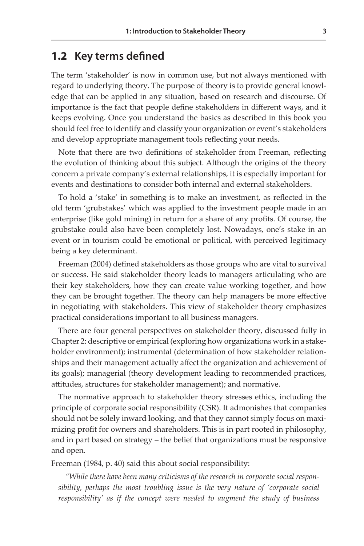### **1.2 Key terms defined**

The term 'stakeholder' is now in common use, but not always mentioned with regard to underlying theory. The purpose of theory is to provide general knowledge that can be applied in any situation, based on research and discourse. Of importance is the fact that people define stakeholders in different ways, and it keeps evolving. Once you understand the basics as described in this book you should feel free to identify and classify your organization or event's stakeholders and develop appropriate management tools reflecting your needs.

Note that there are two definitions of stakeholder from Freeman, reflecting the evolution of thinking about this subject. Although the origins of the theory concern a private company's external relationships, it is especially important for events and destinations to consider both internal and external stakeholders.

To hold a 'stake' in something is to make an investment, as reflected in the old term 'grubstakes' which was applied to the investment people made in an enterprise (like gold mining) in return for a share of any profits. Of course, the grubstake could also have been completely lost. Nowadays, one's stake in an event or in tourism could be emotional or political, with perceived legitimacy being a key determinant.

Freeman (2004) defined stakeholders as those groups who are vital to survival or success. He said stakeholder theory leads to managers articulating who are their key stakeholders, how they can create value working together, and how they can be brought together. The theory can help managers be more effective in negotiating with stakeholders. This view of stakeholder theory emphasizes practical considerations important to all business managers.

There are four general perspectives on stakeholder theory, discussed fully in Chapter 2: descriptive or empirical (exploring how organizations work in a stakeholder environment); instrumental (determination of how stakeholder relationships and their management actually affect the organization and achievement of its goals); managerial (theory development leading to recommended practices, attitudes, structures for stakeholder management); and normative.

The normative approach to stakeholder theory stresses ethics, including the principle of corporate social responsibility (CSR). It admonishes that companies should not be solely inward looking, and that they cannot simply focus on maximizing profit for owners and shareholders. This is in part rooted in philosophy, and in part based on strategy – the belief that organizations must be responsive and open.

Freeman (1984, p. 40) said this about social responsibility:

*"While there have been many criticisms of the research in corporate social responsibility, perhaps the most troubling issue is the very nature of 'corporate social responsibility' as if the concept were needed to augment the study of business*